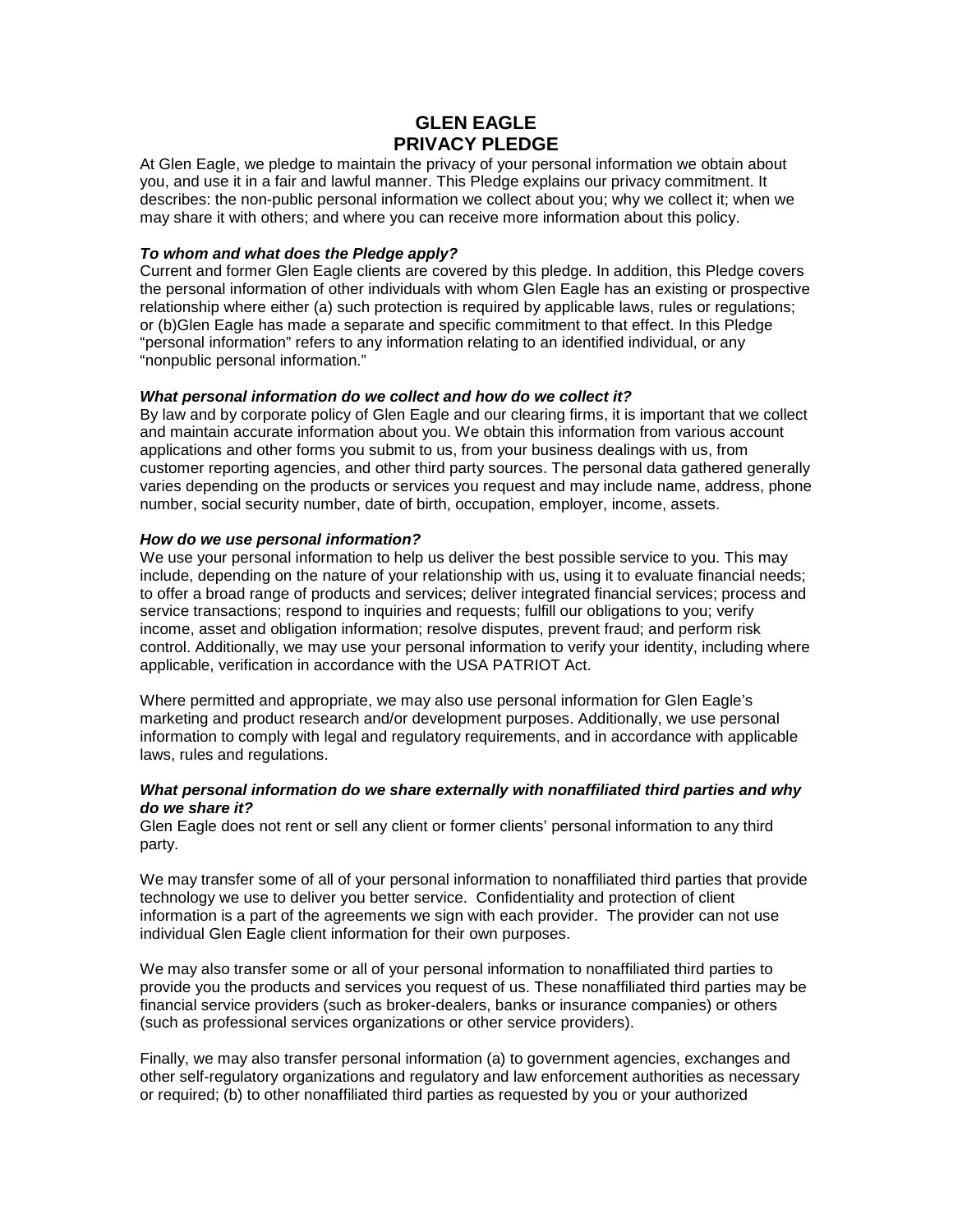# **GLEN EAGLE PRIVACY PLEDGE**

At Glen Eagle, we pledge to maintain the privacy of your personal information we obtain about you, and use it in a fair and lawful manner. This Pledge explains our privacy commitment. It describes: the non-public personal information we collect about you; why we collect it; when we may share it with others; and where you can receive more information about this policy.

### *To whom and what does the Pledge apply?*

Current and former Glen Eagle clients are covered by this pledge. In addition, this Pledge covers the personal information of other individuals with whom Glen Eagle has an existing or prospective relationship where either (a) such protection is required by applicable laws, rules or regulations; or (b)Glen Eagle has made a separate and specific commitment to that effect. In this Pledge "personal information" refers to any information relating to an identified individual, or any "nonpublic personal information."

## *What personal information do we collect and how do we collect it?*

By law and by corporate policy of Glen Eagle and our clearing firms, it is important that we collect and maintain accurate information about you. We obtain this information from various account applications and other forms you submit to us, from your business dealings with us, from customer reporting agencies, and other third party sources. The personal data gathered generally varies depending on the products or services you request and may include name, address, phone number, social security number, date of birth, occupation, employer, income, assets.

#### *How do we use personal information?*

We use your personal information to help us deliver the best possible service to you. This may include, depending on the nature of your relationship with us, using it to evaluate financial needs; to offer a broad range of products and services; deliver integrated financial services; process and service transactions; respond to inquiries and requests; fulfill our obligations to you; verify income, asset and obligation information; resolve disputes, prevent fraud; and perform risk control. Additionally, we may use your personal information to verify your identity, including where applicable, verification in accordance with the USA PATRIOT Act.

Where permitted and appropriate, we may also use personal information for Glen Eagle's marketing and product research and/or development purposes. Additionally, we use personal information to comply with legal and regulatory requirements, and in accordance with applicable laws, rules and regulations.

#### *What personal information do we share externally with nonaffiliated third parties and why do we share it?*

Glen Eagle does not rent or sell any client or former clients' personal information to any third party.

We may transfer some of all of your personal information to nonaffiliated third parties that provide technology we use to deliver you better service. Confidentiality and protection of client information is a part of the agreements we sign with each provider. The provider can not use individual Glen Eagle client information for their own purposes.

We may also transfer some or all of your personal information to nonaffiliated third parties to provide you the products and services you request of us. These nonaffiliated third parties may be financial service providers (such as broker-dealers, banks or insurance companies) or others (such as professional services organizations or other service providers).

Finally, we may also transfer personal information (a) to government agencies, exchanges and other self-regulatory organizations and regulatory and law enforcement authorities as necessary or required; (b) to other nonaffiliated third parties as requested by you or your authorized